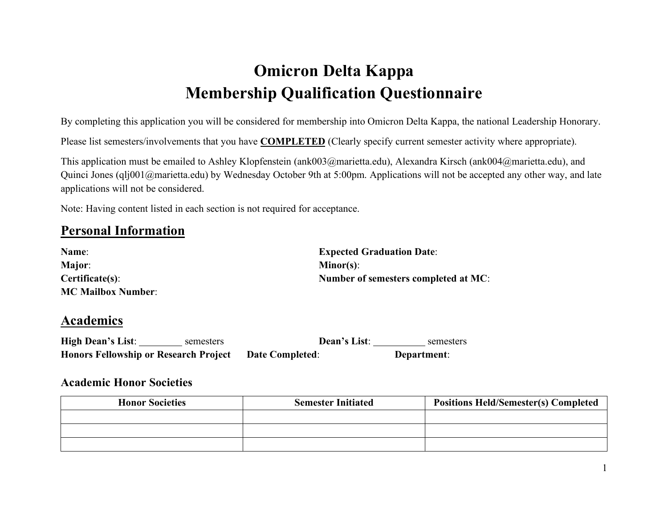# **Omicron Delta Kappa Membership Qualification Questionnaire**

By completing this application you will be considered for membership into Omicron Delta Kappa, the national Leadership Honorary.

Please list semesters/involvements that you have **COMPLETED** (Clearly specify current semester activity where appropriate).

This application must be emailed to Ashley Klopfenstein (ank003@marietta.edu), Alexandra Kirsch (ank004@marietta.edu), and Quinci Jones (qlj001@marietta.edu) by Wednesday October 9th at 5:00pm. Applications will not be accepted any other way, and late applications will not be considered.

Note: Having content listed in each section is not required for acceptance.

### **Personal Information**

| Name:                     | <b>Expected Graduation Date:</b>     |
|---------------------------|--------------------------------------|
| <b>Major:</b>             | $Minor(s)$ :                         |
| Certificate(s):           | Number of semesters completed at MC: |
| <b>MC Mailbox Number:</b> |                                      |

### **Academics**

| <b>High Dean's List:</b>                     | semesters | Dean's List:           | semesters   |
|----------------------------------------------|-----------|------------------------|-------------|
| <b>Honors Fellowship or Research Project</b> |           | <b>Date Completed:</b> | Department: |

#### **Academic Honor Societies**

| <b>Honor Societies</b> | <b>Semester Initiated</b> | <b>Positions Held/Semester(s) Completed</b> |
|------------------------|---------------------------|---------------------------------------------|
|                        |                           |                                             |
|                        |                           |                                             |
|                        |                           |                                             |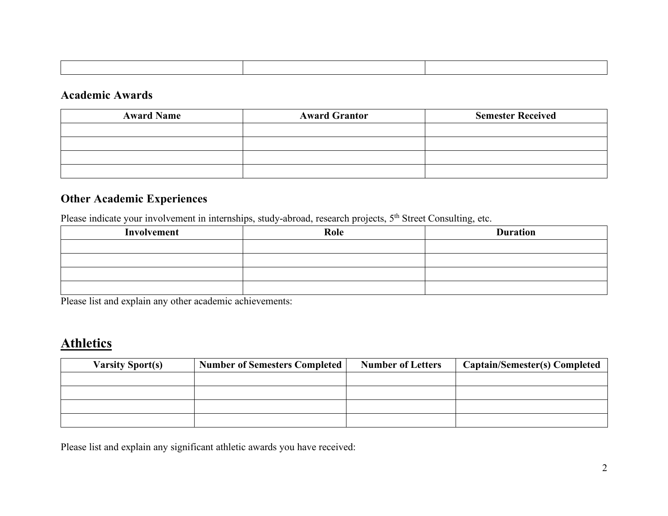#### **Academic Awards**

| <b>Award Name</b> | <b>Award Grantor</b> | <b>Semester Received</b> |
|-------------------|----------------------|--------------------------|
|                   |                      |                          |
|                   |                      |                          |
|                   |                      |                          |
|                   |                      |                          |

### **Other Academic Experiences**

Please indicate your involvement in internships, study-abroad, research projects, 5<sup>th</sup> Street Consulting, etc.

| Involvement | Role | <b>Duration</b> |
|-------------|------|-----------------|
|             |      |                 |
|             |      |                 |
|             |      |                 |
|             |      |                 |

Please list and explain any other academic achievements:

# **Athletics**

| <b>Varsity Sport(s)</b> | <b>Number of Semesters Completed</b> | <b>Number of Letters</b> | <b>Captain/Semester(s) Completed</b> |
|-------------------------|--------------------------------------|--------------------------|--------------------------------------|
|                         |                                      |                          |                                      |
|                         |                                      |                          |                                      |
|                         |                                      |                          |                                      |
|                         |                                      |                          |                                      |

Please list and explain any significant athletic awards you have received: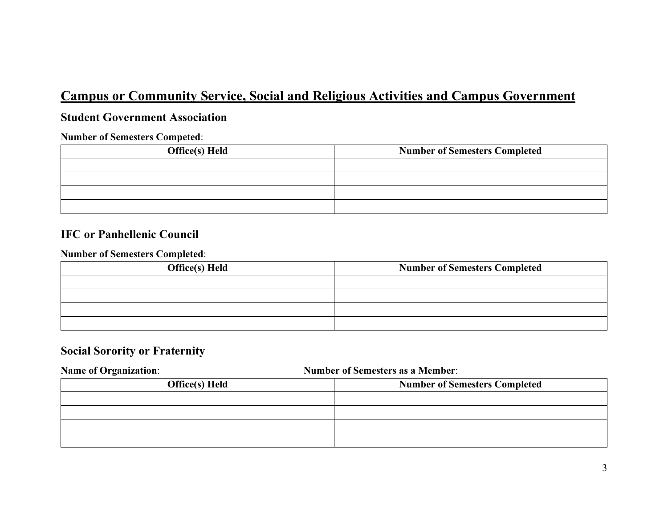# **Campus or Community Service, Social and Religious Activities and Campus Government**

#### **Student Government Association**

#### **Number of Semesters Competed**:

| <b>Office(s)</b> Held | <b>Number of Semesters Completed</b> |
|-----------------------|--------------------------------------|
|                       |                                      |
|                       |                                      |
|                       |                                      |
|                       |                                      |

#### **IFC or Panhellenic Council**

#### **Number of Semesters Completed**:

| <b>Office(s)</b> Held | <b>Number of Semesters Completed</b> |
|-----------------------|--------------------------------------|
|                       |                                      |
|                       |                                      |
|                       |                                      |
|                       |                                      |

#### **Social Sorority or Fraternity**

# **Name of Organization**: **Number of Semesters as a Member**:

| <b>Office(s)</b> Held | <b>Number of Semesters Completed</b> |
|-----------------------|--------------------------------------|
|                       |                                      |
|                       |                                      |
|                       |                                      |
|                       |                                      |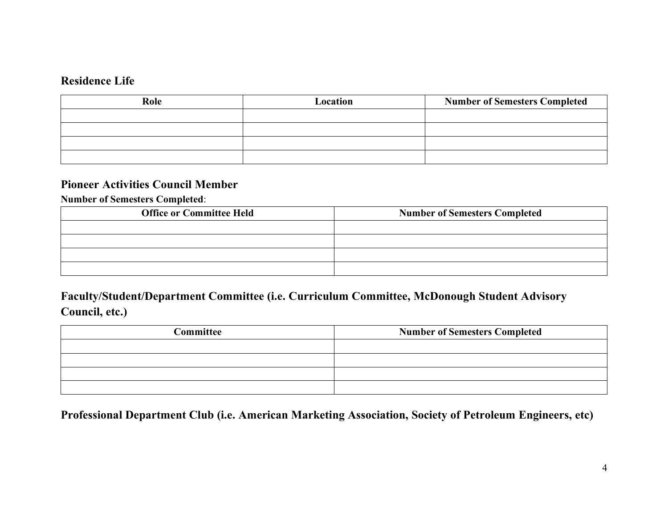#### **Residence Life**

| Role | Location | <b>Number of Semesters Completed</b> |
|------|----------|--------------------------------------|
|      |          |                                      |
|      |          |                                      |
|      |          |                                      |
|      |          |                                      |

#### **Pioneer Activities Council Member**

**Number of Semesters Completed**:

| <b>Office or Committee Held</b> | <b>Number of Semesters Completed</b> |
|---------------------------------|--------------------------------------|
|                                 |                                      |
|                                 |                                      |
|                                 |                                      |
|                                 |                                      |

## **Faculty/Student/Department Committee (i.e. Curriculum Committee, McDonough Student Advisory Council, etc.)**

| Committee | <b>Number of Semesters Completed</b> |  |
|-----------|--------------------------------------|--|
|           |                                      |  |
|           |                                      |  |
|           |                                      |  |
|           |                                      |  |

**Professional Department Club (i.e. American Marketing Association, Society of Petroleum Engineers, etc)**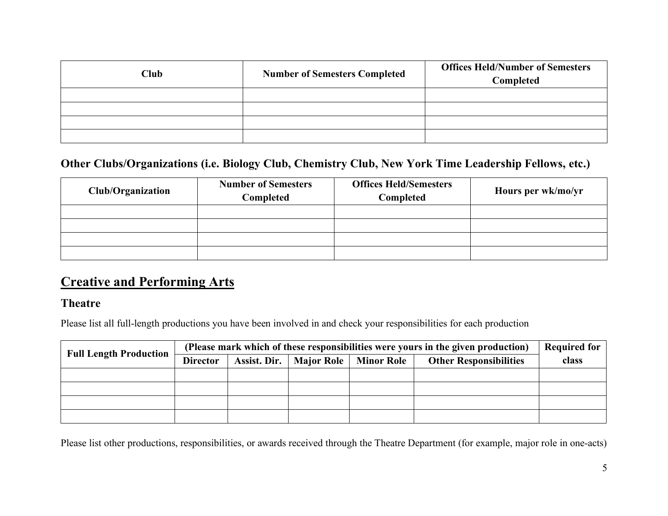| Club | <b>Number of Semesters Completed</b> | <b>Offices Held/Number of Semesters</b><br>Completed |
|------|--------------------------------------|------------------------------------------------------|
|      |                                      |                                                      |
|      |                                      |                                                      |
|      |                                      |                                                      |
|      |                                      |                                                      |

### **Other Clubs/Organizations (i.e. Biology Club, Chemistry Club, New York Time Leadership Fellows, etc.)**

| <b>Club/Organization</b> | <b>Number of Semesters</b><br>Completed | <b>Offices Held/Semesters</b><br>Completed | Hours per wk/mo/yr |
|--------------------------|-----------------------------------------|--------------------------------------------|--------------------|
|                          |                                         |                                            |                    |
|                          |                                         |                                            |                    |
|                          |                                         |                                            |                    |
|                          |                                         |                                            |                    |

# **Creative and Performing Arts**

#### **Theatre**

Please list all full-length productions you have been involved in and check your responsibilities for each production

| <b>Full Length Production</b> | (Please mark which of these responsibilities were yours in the given production) |  |                               | <b>Required for</b> |  |
|-------------------------------|----------------------------------------------------------------------------------|--|-------------------------------|---------------------|--|
|                               | <b>Assist. Dir.</b>   Major Role   Minor Role<br><b>Director</b>                 |  | <b>Other Responsibilities</b> | class               |  |
|                               |                                                                                  |  |                               |                     |  |
|                               |                                                                                  |  |                               |                     |  |
|                               |                                                                                  |  |                               |                     |  |
|                               |                                                                                  |  |                               |                     |  |

Please list other productions, responsibilities, or awards received through the Theatre Department (for example, major role in one-acts)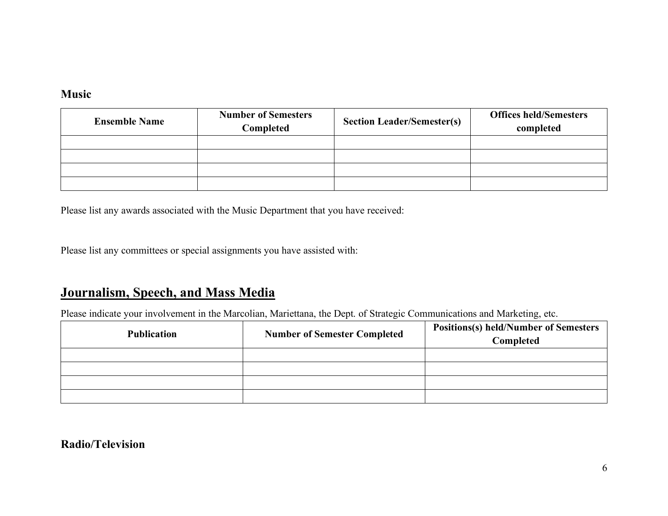#### **Music**

| <b>Ensemble Name</b> | <b>Number of Semesters</b><br>Completed | <b>Section Leader/Semester(s)</b> | <b>Offices held/Semesters</b><br>completed |
|----------------------|-----------------------------------------|-----------------------------------|--------------------------------------------|
|                      |                                         |                                   |                                            |
|                      |                                         |                                   |                                            |
|                      |                                         |                                   |                                            |
|                      |                                         |                                   |                                            |

Please list any awards associated with the Music Department that you have received:

Please list any committees or special assignments you have assisted with:

# **Journalism, Speech, and Mass Media**

Please indicate your involvement in the Marcolian, Mariettana, the Dept. of Strategic Communications and Marketing, etc.

| <b>Publication</b> | <b>Number of Semester Completed</b> | <b>Positions(s) held/Number of Semesters</b><br>Completed |
|--------------------|-------------------------------------|-----------------------------------------------------------|
|                    |                                     |                                                           |
|                    |                                     |                                                           |
|                    |                                     |                                                           |
|                    |                                     |                                                           |

### **Radio/Television**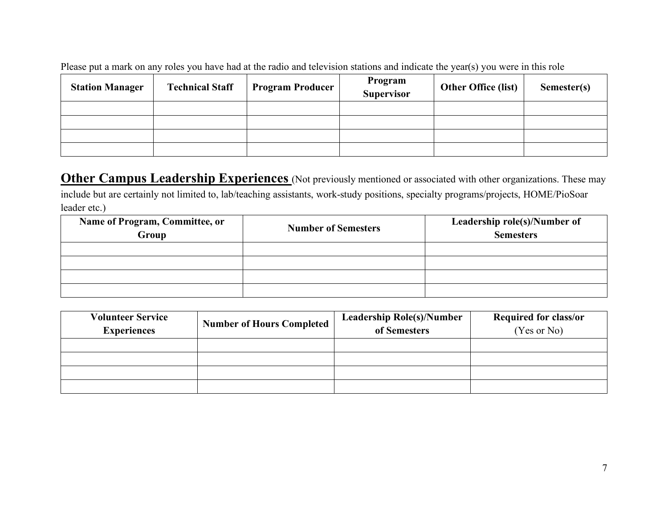Please put a mark on any roles you have had at the radio and television stations and indicate the year(s) you were in this role

| <b>Station Manager</b> | <b>Technical Staff</b> | <b>Program Producer</b> | Program<br>Supervisor | <b>Other Office (list)</b> | Semester(s) |
|------------------------|------------------------|-------------------------|-----------------------|----------------------------|-------------|
|                        |                        |                         |                       |                            |             |
|                        |                        |                         |                       |                            |             |
|                        |                        |                         |                       |                            |             |
|                        |                        |                         |                       |                            |             |

**Other Campus Leadership Experiences** (Not previously mentioned or associated with other organizations. These may include but are certainly not limited to, lab/teaching assistants, work-study positions, specialty programs/projects, HOME/PioSoar leader etc.)

| Name of Program, Committee, or<br>Group | <b>Number of Semesters</b> | Leadership role(s)/Number of<br><b>Semesters</b> |  |
|-----------------------------------------|----------------------------|--------------------------------------------------|--|
|                                         |                            |                                                  |  |
|                                         |                            |                                                  |  |
|                                         |                            |                                                  |  |
|                                         |                            |                                                  |  |

| <b>Volunteer Service</b><br><b>Experiences</b> | <b>Number of Hours Completed</b> | <b>Leadership Role(s)/Number</b><br>of Semesters | <b>Required for class/or</b><br>(Yes or No) |
|------------------------------------------------|----------------------------------|--------------------------------------------------|---------------------------------------------|
|                                                |                                  |                                                  |                                             |
|                                                |                                  |                                                  |                                             |
|                                                |                                  |                                                  |                                             |
|                                                |                                  |                                                  |                                             |